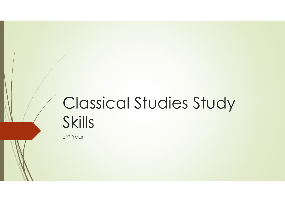# Classical Studies Study Skills

2<sup>nd</sup> Year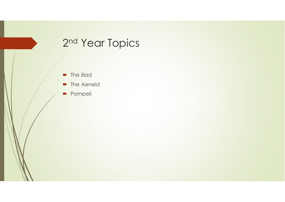## 2<sup>nd</sup> Year Topics

- The Iliad
- $\blacksquare$ The Aeneid
- $\blacksquare$ Pompeii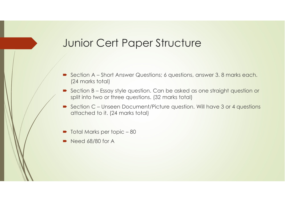#### Junior Cert Paper Structure

- $\blacksquare$  Section A – Short Answer Questions; 6 questions, answer 3. 8 marks each. (24 marks total)
- Section B Essay style question. Can be asked as one straight question or<br>split into two or three questions. (32 marks total) split into two or three questions. (32 marks total)
- Section C Unseen Document/Picture question. Will have 3 or 4 questions<br>attached to it, (24 marks total) attached to it. (24 marks total)
- $\blacksquare$ Total Marks per topic – <sup>80</sup>
- $\blacksquare$ Need 68/80 for A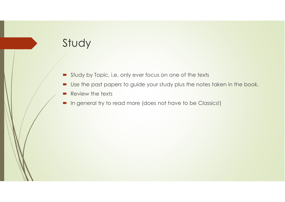## Study

- Study by Topic, i.e. only ever focus on one of the texts
- $\blacksquare$ Use the past papers to guide your study plus the notes taken in the book.
- $\blacksquare$ Review the texts
- $\quad \blacksquare$  In general try to read more (does not have to be Classics!)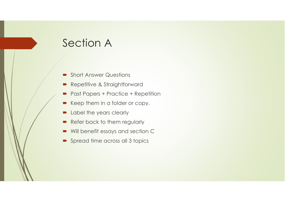## Section A

- $\blacksquare$ Short Answer Questions
- Repetitive & Straightforward
- $\blacksquare$ Past Papers + Practice + Repetition
- Keep them in a folder or copy.
- $\blacksquare$ Label the years clearly
- $\blacksquare$ Refer back to them regularly
- $\blacksquare$ Will benefit essays and section C
- Spread time across all 3 topics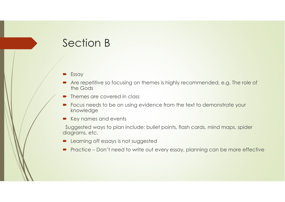## Section B

- **Essay**
- Are repetitive so focusing on themes is highly recommended, e.g. The role of the Gods the Gods
- D Themes are covered in class
- Focus needs to be on using evidence from the text to demonstrate your<br>knowledge knowledge
- Key names and events

Suggested ways to plan include: bullet points, flash cards, mind maps, spider diagrams, etc.

- п Learning off essays is not suggested
- $\blacktriangleright$  Practice Don't need to write out every essay, planning can be more effective